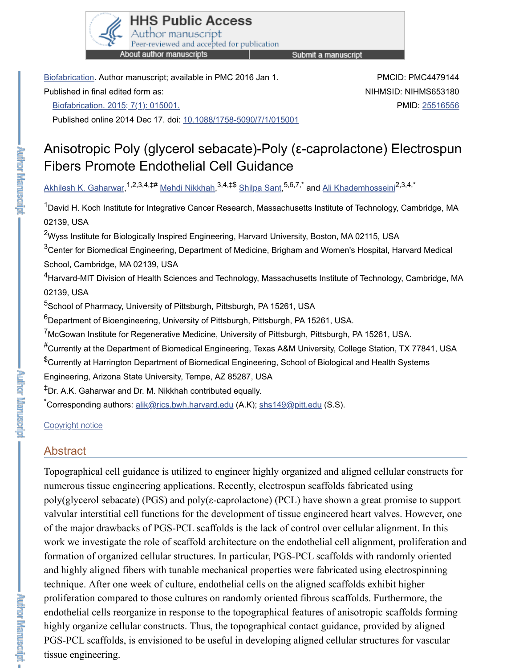# Fibers Promote Endothelial Cell Guidance

Akhilesh K. Gaharwar,<sup>1,2,3,4,‡#</sup> <u>Mehdi Nikkhah,<sup>3,4,‡\$</sup> Shilpa Sant,<sup>5,6,7,\*</sup> and Ali Khademhosseir</u>

 $1$ David H. Koch Institute for Integrative Cancer Research, Massachusetts Institute of Technolog 02139, USA

 $2$ [Wyss Institut](https://www.ncbi.nlm.nih.gov/pmc/articles/PMC4479144/#)e for Biologically Inspired Engineering, Harvard University, Boston, MA 02115, US  $3$ Center for Biomedical Engineering, Department of Medicine, Brigham and Women's Hospital, S[chool, Cambridge, MA 02139, USA](https://www.ncbi.nlm.nih.gov/entrez/eutils/elink.fcgi?dbfrom=pubmed&retmode=ref&cmd=prlinks&id=25516556)

 $4$ Harvard-MIT Division of Health Scie[nces and Technology, Massachu](https://dx.doi.org/10.1088%2F1758-5090%2F7%2F1%2F015001)setts Institute of Technolo 02139, USA

<sup>5</sup>School of Pharmacy, University of Pittsburgh, Pittsburgh, PA 15261, USA

 $^6$ Department of Bioengineering, University of Pittsburgh, Pittsburgh, PA 15261, USA.

<sup>7</sup>McGowan Institute for Regenerative Medicine, University of Pittsburgh, Pittsburgh, PA 15261,

 $^{\#}$ [Currently at the Depa](https://www.ncbi.nlm.nih.gov/pubmed/?term=Gaharwar%20AK%5BAuthor%5D&cauthor=true&cauthor_uid=25516556)rtment of [Biomedical Eng](https://www.ncbi.nlm.nih.gov/pubmed/?term=Nikkhah%20M%5BAuthor%5D&cauthor=true&cauthor_uid=25516556)ineer[ing, Texas A](https://www.ncbi.nlm.nih.gov/pubmed/?term=Sant%20S%5BAuthor%5D&cauthor=true&cauthor_uid=25516556)&M University, College Statiol  $^{\$}$ Currently at Harrington Department of Biomedical Engineering, School of Biological and Healt Engineering, Arizona State University, Tempe, AZ 85287, USA

<sup>‡</sup>Dr. A.K. Gaharwar and Dr. M. Nikkhah contributed equally.

\*<br>Corresponding authors: **alik@rics.bwh.harvard.edu** (A.K); <u>shs149@pitt.edu</u> (S.S).

### Copyright notice

# Abstract

**BIRTHERS** 

**Property Family Company** 

**REFIRE EXAMPLES** 

Topographical cell guidance is utilized to engineer highly organized and aligned cellular constructs for  $\alpha$ numerous tissue engineering applications. Recently, electrospun scaffolds fabricated poly(glycerol sebacate) (PGS) and poly( $\varepsilon$ -caprolactone) (PCL) have shown a great proportionvalvular interstitial cell functions for the development of tissue engineered heart valves. of the major drawbacks of PGS-PCL scaffolds is the lack of control over cellular alignment. In this scaffold is the lack of control over cellular alignment. work we investigate the role of scaffold architecture on the endothelial cell alignment, formation of organized cellular structures. In particular, PGS-PCL scaffolds with rand and highly aligned fib[ers with tunable mechani](mailto:dev@null)cal pr[operties were fa](mailto:dev@null)bricated using electronspinning [technique. Afte](https://www.ncbi.nlm.nih.gov/pmc/about/copyright/)r one week of culture, endothelial cells on the aligned scaffolds exhib proliferation compared to those cultures on randomly oriented fibrous scaffolds. Furthermore, the state of the scattermore, the scattermore, the scattermore, the scattermore, the scattermore, the scattermore, the scattermo endothelial cells reorganize in response to the topographical features of anisotropic set highly organize cellular constructs. Thus, the topographical contact guidance, provid PGS-PCL scaffolds, is envisioned to be useful in developing aligned cellular structures tissue engineering.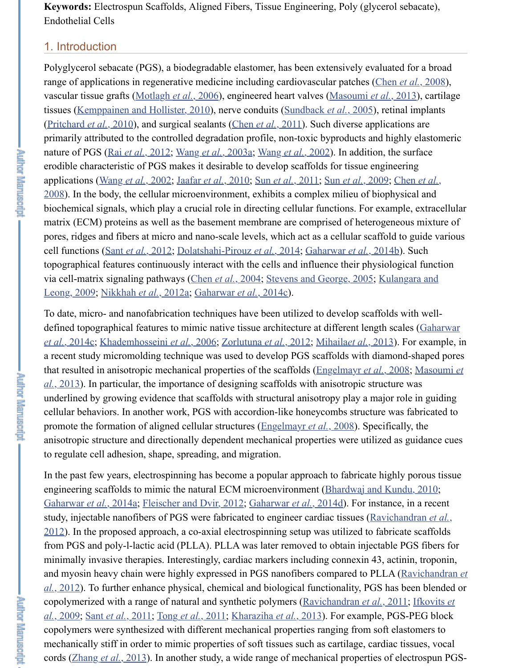erodible characteristic of PGS makes it desirable to develop scaffolds for tissue engine applications (Wang *et al.*, 2002; Jaafar *et al.*, 2010; Sun *et al.*, 2011; Sun *et al.*, 2009;  $2008$ ). In the body, the cellular microenvironment, exhibits a complex milieu of biop biochemical signals, which play a crucial role in directing cellular functions. For example, extractional results. matrix (ECM) proteins as well as the basement membrane are comprised of heterogeneous matrix pores, ridges and fibers at micro and nano-scale levels, which act as a cellular scaffold cell functions (Sant *et al.*, 2012; Dolatshahi-Pirouz *et al.*, 2014; Gaharwar *et al.*, 2014 topogra[phical features continuously inte](#page-12-0)[rac](#page-13-0)t with the cells [and influence their ph](#page-14-0)ysiol [via cell-matrix signali](#page-13-2)ng pathways (Chen et al.[, 2004; Stevens a](#page-11-1)nd George, 2005; Ku Leong, 2009; Nikkhah *et al.*, 2012a; Gaharwar *et al.*, 2014c).

**POTE EMPLOYEE** 

**Property Republication** 

**MENDER ENTERPRIS** 

To date, micro- [and nanofabrica](#page-13-3)[tion techniques hav](#page-14-1)[e been utilized to d](#page-14-2)evelop scaffold defined topographical features to mimic native tissue architecture at different length *et al.*, 2014c; [Khademhosseini](#page-14-2) *et al.*[, 2006; Zorlutu](#page-12-1)na *et al.*[, 2012; M](#page-14-3)[ihaila](#page-14-4)*et al.*, 2013 a recent study micromolding technique was used to develop PGS scaffolds with diam that resulted in anisotropic mechanical properties of the scaffolds (Engelmayr *et al.*,  $al$ ,  $2013$ ). In particular, the importance of designing scaffolds with anisotropic struct underlined by growing evidence that scaffolds with structural anisotropy play a major role in guiding  $\alpha$ cellular behavi[ors. In another w](#page-14-5)[ork, PGS with accordion-like h](#page-11-2)[oneycombs structure wa](#page-11-3)s promote the formation of aligned cellular structures (Engelmayr *et al.*, 2008). Specifi [anisotropic structure and directional](#page-12-2)[ly dependent me](#page-11-4)[ch](#page-12-2)[anical properties were uti](#page-14-6)lized to regulate ce[ll adhesion, shape, spr](#page-13-4)e[ading, and migration.](#page-12-3)

In the past few years, electrospinning has become a popular approach to fabricate higher engineering scaffolds to mimic the natural ECM microenvironment (Bhardwaj and K Gaharwar *et al.*[, 2014a; Fleischer and Dvir](#page-12-4), [2012; Gaharwar](#page-15-0) *et al.*, 2014d). For instar study, injectable nanofibers of PGS were fabricated to engineer cardiac tissues (Ravid  $2012$ ). In the proposed approach, a co-axial electrospinning setup [was utilized to fabricate](#page-11-5) from PGS and poly-l-lactic acid (PLLA). PLLA was later removed to obtain injectab minimally invasive therapies. Interestingly, cardiac markers including connexin 43, a and myosin heavy chain were highly expressed in PGS nanofibers compared to PLL<sup>1</sup> *al.*, 2012). To further enhance physical, chemical an[d biological functionalit](#page-11-5)y, PGS h copolymerized with a range of natural and synthetic polymers (Ravichandran *et al.*, 2 *al.*, 2009; Sant *et al.*, 2011; Tong *et al.*, 2011; Kharaziha *et al.*, 2013). For example, P copolymers were synthesized with different mechanical properties ranging from soft mechanically stiff in order to mimic properties of soft tissues such as cartilage, cardiac [cords \(Zhang](#page-11-7) *et al.*, 201[3\). In another study, a wid](#page-11-8)[e range of mechanical p](#page-12-5)roperties of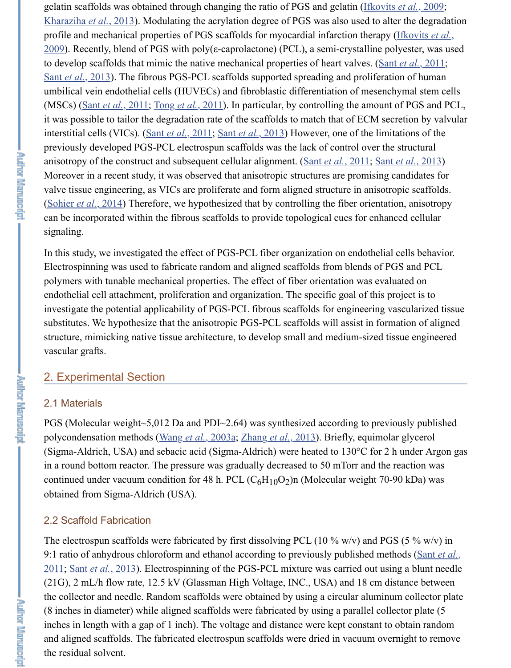anisotropy of the construct and subsequent cellular alignment. (Sant *et al.*, 2011; Sant *et al.*, 2013) Moreover in a recent study, it was observed that anisotropic structures are promising [valve tissue engineerin](#page-12-7)g, as VICs are proliferate and form aligned structure in anisotropic (Sohier *et al.*, 2014) Therefore, we hypothesized that by controlling the fiber orientat can be incorporated within the fibrous scaffolds to provide topological cues for enhanced current cellular cellular cellular control cellular cellular cellular cellular cellular cellular cellular cellular cellular cellular [signaling.](#page-14-8)

In this study, we investigated the effect of PGS-PCL fiber organization on endothelia Electros[pinning was used](#page-14-7) t[o fabricate rando](#page-14-9)m and aligned scaffolds from blends of P polymers with tunable mechanical properties. The effect of fiber orientation was eval endothelial cell attachme[nt, proliferation](#page-14-7) a[nd organization.](#page-14-8) The specific goal of this p investigate the potential applicability of PGS-PCL fibrous scaffolds for engineering v substitutes. We hypothesize that the anisotropic PGS-PCL scaff[olds will assist in](#page-14-7) form structure, mimicking native tissue architecture, to develop small and medium-sized ti vascular grafts.

# 2. Experimental Section

### 2.1 Materials

PGS (Molecular weight~5,012 Da and PDI~2.64) was synthesized according to previously polycondensation methods (Wang *et al.*, 2003a; Zhang *et al.*, 2013). Briefly, equimol (Sigma-Aldrich, USA) and sebacic acid (Sigma-Aldrich) were heated to  $130^{\circ}$ C for 2 in a round bottom reactor. The pressure was gradually decreased to 50 mTorr and the continued under vacuum condition for 48 h. PCL  $(C_6H_{10}O_2)$ n (Molecular weight 70obtained from Sigma-Aldrich (USA).

## 2.2 Scaffold Fabrication

The electrospun scaffolds were fabricated by first dissolving PCL (10  $\%$  w/v) and PC 9:1 ratio of anhydrous chloroform and ethanol according to previously published met 2011; Sant *et al.*, 2013). Electrospinning of the PGS-PCL mixture was carried out using  $(21G)$ , 2 mL/h flow rate, 12.5 kV (Glassman High Voltage, INC., USA) and 18 cm d the collector and needle. Ra[ndom scaffolds wer](#page-14-1)[e obtained by using](#page-15-1) a circular aluminum (8 inches in diameter) while aligned scaffolds were fabricated by using a parallel coll inches in length with a gap of 1 inch). The voltage and distance were kept constant to and aligned scaffolds. The fabricated electrospun scaffolds were dried in vacuum over the residual solvent.

**Property Family Company** 

**CHRISTIAN ENGINEER**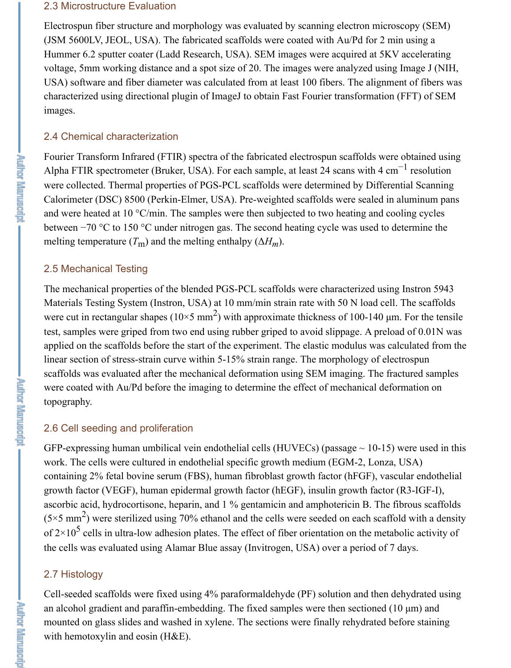#### 2.3 Microstructure Evaluation

Electrospun fiber structure and morphology was evaluated by scanning electron microscopy (SEM) (JSM 5600LV, JEOL, USA). The fabricated scaffolds were coated with Au/Pd for 2 min using a Hummer 6.2 sputter coater (Ladd Research, USA). SEM images were acquired at 5KV accelerating voltage, 5mm working distance and a spot size of 20. The images were analyzed using Image J (NIH, USA) software and fiber diameter was calculated from at least 100 fibers. The alignment of fibers was characterized using directional plugin of ImageJ to obtain Fast Fourier transformation (FFT) of SEM images.

## 2.4 Chemical characterization

Fourier Transform Infrared (FTIR) spectra of the fabricated electrospun scaffolds were obtained using Alpha FTIR spectrometer (Bruker, USA). For each sample, at least 24 scans with 4 cm<sup>-1</sup> resolution were collected. Thermal properties of PGS-PCL scaffolds were determined by Differential Scanning Calorimeter (DSC) 8500 (Perkin-Elmer, USA). Pre-weighted scaffolds were sealed in aluminum pans and were heated at 10  $\degree$ C/min. The samples were then subjected to two heating and cooling cycles between −70 °C to 150 °C under nitrogen gas. The second heating cycle was used to determine the melting temperature  $(T_m)$  and the melting enthalpy  $(\Delta H_m)$ .

### 2.5 Mechanical Testing

The mechanical properties of the blended PGS-PCL scaffolds were characterized using Instron 5943 Materials Testing System (Instron, USA) at 10 mm/min strain rate with 50 N load cell. The scaffolds were cut in rectangular shapes ( $10 \times 5$  mm<sup>2</sup>) with approximate thickness of 100-140 µm. For the tensile test, samples were griped from two end using rubber griped to avoid slippage. A preload of 0.01N was applied on the scaffolds before the start of the experiment. The elastic modulus was calculated from the linear section of stress-strain curve within 5-15% strain range. The morphology of electrospun scaffolds was evaluated after the mechanical deformation using SEM imaging. The fractured samples were coated with Au/Pd before the imaging to determine the effect of mechanical deformation on topography.

# 2.6 Cell seeding and proliferation

GFP-expressing human umbilical vein endothelial cells (HUVECs) (passage  $\sim$  10-15) were used in this work. The cells were cultured in endothelial specific growth medium (EGM-2, Lonza, USA) containing 2% fetal bovine serum (FBS), human fibroblast growth factor (hFGF), vascular endothelial growth factor (VEGF), human epidermal growth factor (hEGF), insulin growth factor (R3-IGF-I), ascorbic acid, hydrocortisone, heparin, and 1 % gentamicin and amphotericin B. The fibrous scaffolds  $(5 \times 5 \text{ mm}^2)$  were sterilized using 70% ethanol and the cells were seeded on each scaffold with a density of  $2\times10^5$  cells in ultra-low adhesion plates. The effect of fiber orientation on the metabolic activity of the cells was evaluated using Alamar Blue assay (Invitrogen, USA) over a period of 7 days.

# 2.7 Histology

Cell-seeded scaffolds were fixed using 4% paraformaldehyde (PF) solution and then dehydrated using an alcohol gradient and paraffin-embedding. The fixed samples were then sectioned (10  $\mu$ m) and mounted on glass slides and washed in xylene. The sections were finally rehydrated before staining with hemotoxylin and eosin (H&E).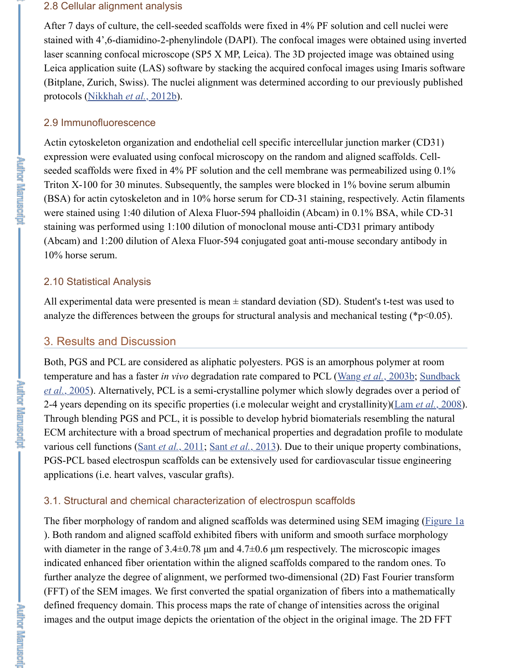seeded scaffolds were fixed in 4% PF solution and the cell membrane was permeabil Triton X-100 for 30 minutes. Subsequently, the samples were blocked in  $1\%$  bovine  $s$ (BSA) for actin cytoskeleton and in  $10\%$  horse serum for CD-31 staining, respectivel were stained using 1:40 dilution of Alexa Fluor-594 phalloidin (Abcam) in 0.1% BS. staining was performed using 1:100 dilution of monoclonal mouse anti-CD31 primar (Abcam) and 1:200 dilution of Alexa Fluor-594 conjugated goat anti-mouse secondary 10% horse [serum.](#page-13-6)

# 2.10 Statistical Analysis

All experimental data were presented is mean  $\pm$  standard deviation (SD). Student's tanalyze the differences between the groups for structural analysis and mechanical test

# 3. Results and Discussion

Both, PGS and PCL are considered as aliphatic polyesters. PGS is an amorphous polytemperature and has a faster *in vivo* degradation rate compared to PCL (Wang *et al.*, *et al.*, 2005). Alternatively, PCL is a semi-crystalline polymer which slowly degrades 2-4 years depending on its specific properties (i.e molecular weight and crystallinity) Through blending PGS and PCL, it is possible to develop hybrid biomaterials resemble ECM architecture with a broad spectrum of mechanical properties and degradation profile to modulate to modulate to modulate to modulate to modulate to modulate to modulate to modulate to modulate to modulate to modulate to various cell functions (Sant *et al.*, 2011; Sant *et al.*, 2013). Due to their unique property contains and the same of their combined property contains and the same of the same of the same of the same of the same of the PGS-PCL based electrospun scaffolds can be extensively used for cardiovascular tiss applications (i.e. heart valves, vascular grafts).

# 3.1. Structural and chemical characterization of electrospun scaffolds

The fiber morphology of random and aligned scaffolds was determined using SEM in ). Both random and aligned scaffold exhibited fibers with uniform and smooth surface with diameter in the range of  $3.4\pm0.78$  µm and  $4.7\pm0.6$  µm respectively. The microsc indicated enhanced fiber orientation within the aligned scaffolds compared to the ran further analyze the degree of alignment, we performed two-dimensional (2D) Fast Fourth (FFT) of the SEM images. We first converted the spatial organization of fibers into a defined frequency do[main. This process](#page-14-7) [maps the rate of](#page-14-8) change of intensities across images and the output image depicts the orientation of the object in the original image.

**Property Report Follows** 

**Explorer Manuager** -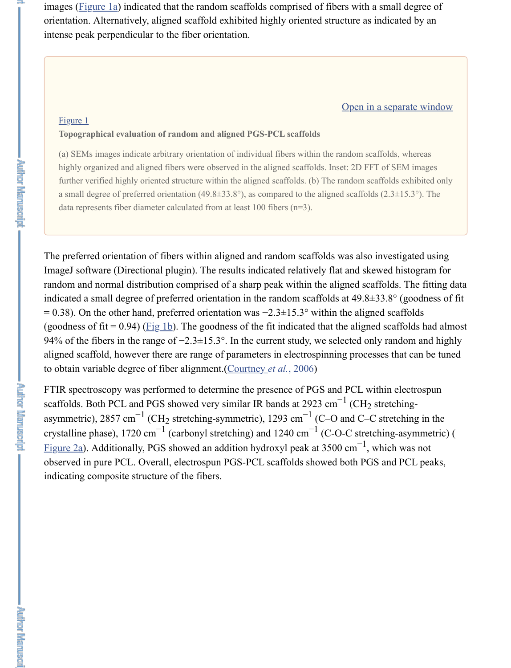highl[y organized](https://www.ncbi.nlm.nih.gov/pmc/articles/PMC4479144/figure/F1/) and aligned fibers were observed in the aligned scaffolds. Inset: 2D FFT of further verified highly oriented structure within the aligned scaffolds. (b) The random scaffolds a small degree of preferred orientation  $(49.8\pm 33.8^{\circ})$ , as compared to the aligned scaffolds  $(2.3\pm 3.3^{\circ})$ . data represents fiber diameter calculated from at least 100 fibers (n=3).

The preferred orientation of fibers within aligned and random scaffolds was also investigated using using using using using using using the preferred using using the preferred using using using the preferred using using us ImageJ software (Directional plugin). The results indicated relatively flat and skewed ran[dom and](https://www.ncbi.nlm.nih.gov/pmc/articles/PMC4479144/figure/F1/) normal distribution comprised of a sharp peak within the aligned scaffol indicated a small degree of preferred orientation in the random scaffolds at  $49.8 \pm 33.8$  $= 0.38$ ). On the other hand, preferred orientation was  $-2.3\pm15.3^\circ$  within the aligned s (goodness of fit = 0.94) ( $Fig 1b$ ). The goodness of the fit indicated that the aligned sc</u> 94% of the fibers in the range of −2.3±15.3°. In the current study, we selected only random and highly random and higher and higher study, we selected only random and higher study. aligned scaffold, however there are range of parameters in electrospinning processes to obtain variable degree of fiber alignment.(Courtney *et al.*, 2006)

FTIR spectroscopy was performed to determine the presence of PGS and PCL within scaffolds. Both PCL and PGS showed very similar IR bands at 2923 cm<sup>-1</sup> (CH<sub>2</sub> stret asymmetric), 2857 cm<sup>-1</sup> (CH<sub>2</sub> stretching-symmetric), 1293 cm<sup>-1</sup> (C–O and C–C stre crystalline phase), 1720 cm<sup>-1</sup> (carbonyl stretching) and 1240 cm<sup>-1</sup> (C-O-C stretching Figure 2a). Additionally, PGS showed an addition hydroxyl peak at 3500 cm<sup>-1</sup>, which observed in pure PCL. Overall, electrospun PGS-PCL scaffolds showed both PGS and indicating composite structure of the fibers. nd PGS showed very similar IR bands at 2923 cm  $^{-1}$  (CH<sub>2</sub>)<br><sup>-1</sup> (CH<sub>2</sub> stretching-symmetric) 1293 cm<sup>-1</sup> (C-O and C-0

**REFIGURERED** 

**Puthor Meruscript –**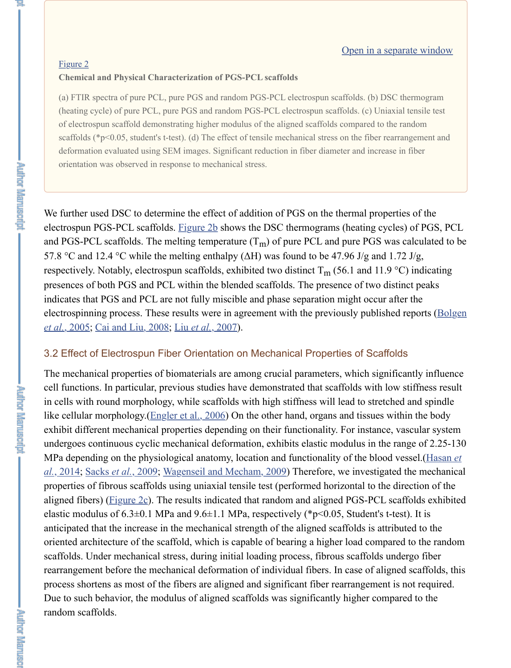We further used DSC to determine the effect of addition of PGS on the thermal properties ele[ctrospun](https://www.ncbi.nlm.nih.gov/pmc/articles/PMC4479144/figure/F2/) PGS-PCL scaffolds. Figure 2b shows the DSC thermograms (heating cycles) and PGS-PCL scaffolds. The melting temperature  $(T_m)$  of pure PCL and pure PGS was 57.8 °C and 12.4 °C while the melting enthalpy ( $\Delta H$ ) was found to be 47.96 J/g and 1. respectively. Notably, electrospun scaffolds, exhibited two distinct  $T_m$  (56.1 and 11.9 presences of both PGS and PCL within the blended scaffolds. The presence of two di indicates that PGS and PCL are not fully miscible and phase separation might occur at electrospinning process. These results were in agreement with the previously published reports (Bolgen *et al.*, 2005; Cai and Liu, 2008; Liu *et al.*, 2007).

# 3.2 Effect of Electrospun Fiber Orientation on Mechanical Properties of Scaffolds

The mechanical properties of biomaterials are among crucial parameters, which significantly influence cell functions. In particular, prev[ious studie](https://www.ncbi.nlm.nih.gov/pmc/articles/PMC4479144/figure/F2/)s have demonstrated that scaffolds with low in cells with round morphology, while scaffolds with high stiffness will lead to stretched and spinlike cellular morphology.(Engler et al., 2006) On the other hand, organs and tissues v exhibit different mechanical properties depending on their functionality. For instance undergoes continuous cyclic mechanical deformation, exhibits elastic modulus in the MPa depending on the physiological anatomy, location and functionality of the blood *al.*, 2014; Sacks *et al.*, 2009; Wagenseil and Mecham, 2009) Therefore, we investigated the mechanical the mechanical the mechanical the mechanical the mechanical theory and mechanical the mechanical theory and mechanica properties of fibrous scaffolds using uniaxial tensile test (performed horizontal to the aligned fibers) ( $Figure 2c$ ). The results indicated that random and aligned PGS-PCL s elastic modulus of  $6.3\pm0.1$  MPa and  $9.6\pm1.1$  MPa, respectively (\*p<0.05, Student's tanticipated that the increase in the mechanical strength of the aligned scaffolds is attri oriented architecture of the scaffold, which is capable of bearing a higher load compared to the scaffold, which is capable of bearing a higher load compared to the random scale to the random scale to the random scale to t scaffolds. Under mechanical stress, during initial loading process, fibrous scaffolds u rearrangement before the mechanical deformation of individual fibers. In case of aligned scatter scatter scatter scatter scatter scatter scatter scatter scatter scatter scatter scatter scatter scatter scatter scatter scatt process shortens as most [of the fibers are alig](#page-11-11)ned and significant fiber rearrangement Due to such behavior, the modulus of aligned scaffolds was significantly higher com[random scaffolds.](#page-12-9)

**Author Manuscript** 

**PALIETICS REMOVEMENT**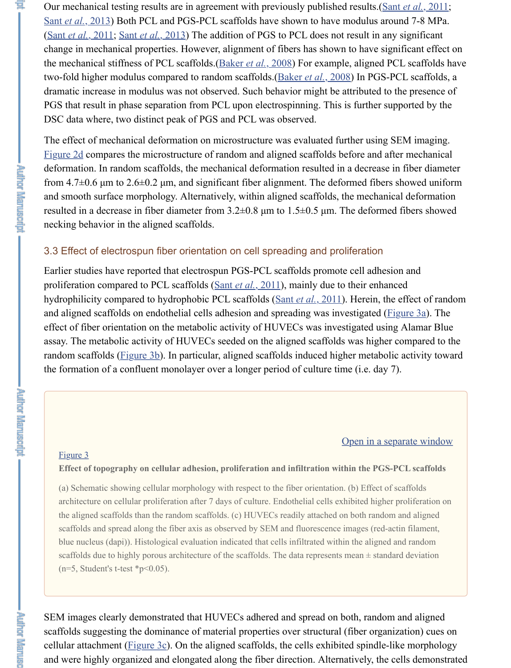deformation. In random scaffolds, the mechanical deformation resulted in a decrease from  $4.7\pm0.6$  µm to  $2.6\pm0.2$  µm, and significant fiber alignment. The deformed fibers [and smooth surfa](#page-14-7)[ce morphology. A](#page-14-8)lternatively, within aligned scaffolds, the mechanical deformation of  $\alpha$ . resulted in a decrease in fiber diameter from  $3.2\pm0.8$  µm to  $1.5\pm0.5$  µm. The deformed fibers showed fibers showed fibers showed fibers showed fibers showed fibers showed fibers showed fibers showed fibers showed fibe necking behavior in the aligned scaffolds.

## 3.3 Effect of electrospun fiber orientation on cell spreading and proliferation

Earlier studies have reported that electrospun PGS-PCL scaffolds promote cell adhes proliferation compared to PCL scaffolds (Sant *et al.*, 2011), mainly due to their enhanced hydrophilicity compared to hydrophobic PCL scaffolds (Sant *et al.*, 2011). Herein, th [and aligne](https://www.ncbi.nlm.nih.gov/pmc/articles/PMC4479144/figure/F2/)d scaffolds on endothelial cells adhesion and spreading was investigated  $($ effect of fiber orientation on the metabolic activity of HUVECs was investigated using assay. The metabolic activity of HUVECs seeded on the aligned scaffolds was higher random scaffolds (Figure 3b). In particular, aligned scaffolds induced higher metabol the formation of a confluent monolayer over a longer period of culture time (i.e. day 7).

## Open in a se

#### Figure 3

**. Author Marwasher** 

**Autor Marwachipt** 

**AND MELTIN** 

### **Effect of topography on cellular adhesion, proliferation [and infiltration wit](#page-14-7)hin the PGS**

(a) Schematic showing cellular morphology with respect to the fiber orientation. (b) Effect of architecture on cellular proliferation after 7 days of culture. Endothelial cells exhibited higher the aligned scaff[olds than the](https://www.ncbi.nlm.nih.gov/pmc/articles/PMC4479144/figure/F3/) random scaffolds. (c) HUVECs readily attached on both random scaffolds and spread along the fiber axis as observed by SEM and fluorescence images (red-action filament, filament,  $\alpha$ blue nucleus (dapi)). Histological evaluation indicated that cells infiltrated within the aligned scaffolds due to highly porous architecture of the scaffolds. The data represents mean  $\pm$  stand  $(n=5, Student's t-test *p<0.05)$ .

SE[M image](https://www.ncbi.nlm.nih.gov/pmc/articles/PMC4479144/figure/F3/)s clearly demonstrated that HUVECs adhered and spread on both, randor scaffolds suggesting the dominance of material properties over structural (fiber organization) cellular attachment (Figure 3c). On the aligned scaffolds, the cells exhibited spindleand were highly organized and elongated along the fiber direction. Alternatively, the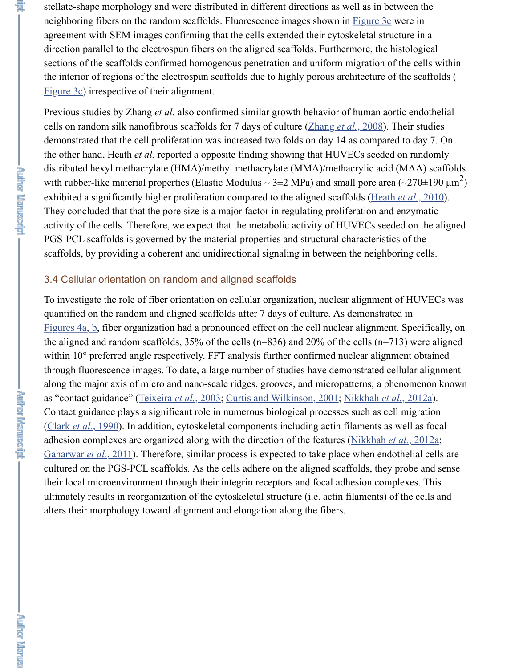distributed hexyl methacrylate (HMA)/methyl methacrylate (MMA)/methacrylic acid with rubber-like material properties (Elastic Modulus  $\sim$  3±2 MPa) and small pore are exhibited a significantly higher proliferation compared to the aligned scaffolds (Heat They concluded that that the pore size is a major factor in regulating proliferation and activity of the cells. Therefore, we expect that the metabolic activity of HUVECs see PGS-PCL scaffolds is governed by the material properties and structural characteristic [scaffolds,](https://www.ncbi.nlm.nih.gov/pmc/articles/PMC4479144/figure/F3/) by providing a coherent and unidirectional signaling in between the neighbor-

## 3.4 Cellular orientation on random and aligned scaffolds

To investigate the role of fiber orientation on cellular organization, nuclear alignment quantified on the random and aligned scaffolds after 7 days of culture. As demonstration-Figures  $4a$ , b, fiber organization had a pronounced effect on the cell nuclear alignment. the aligned and random scaffolds,  $35\%$  of the cells (n=836) and 20% of the cells (n= $\degree$ within  $10^{\circ}$  preferred angle respectively. FFT analysis further confirmed nuclear align through fluorescence images. To date, a large number of studies have demonstrated c along the major axis of micro and nano-scale ridges, grooves, and micropatterns; a pl as "contact guidance" (Teixeira *et al.*, 2003; Curtis and Wilkinson, 2001; Nikkhah *et* Contact guidance plays a significant role in numerous biological processes such as cell (Clark et al., 1990). In addition, cytoskeletal components including actin filaments as adhesion complexes are organized along with the direction of the features (Nikkhah  $\epsilon$ Gaharwar *et al.*, 2011). Therefore, similar process is expected to take place when end cultured on the PGS-PCL scaffolds. As the cells adhere on the aligned scaffolds, they their local microenvironment through their integrin receptors and focal adhesion com [ultimately res](https://www.ncbi.nlm.nih.gov/pmc/articles/PMC4479144/figure/F4/)ults in reorganization of the cytoskeletal structure (i.e. actin filaments) alters their morphology toward alignment and elongation along the fibers.

**PATHETICS** IN EACH OF

**Holland Marinactic Lating 1**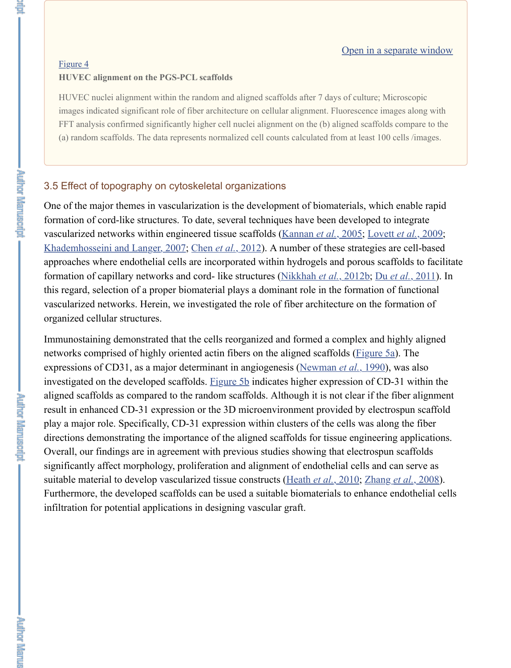# 3.5 Effect of topography on cytoskeletal organizations

One of the major themes in vascularization is the development of biomaterials, which for[mation o](https://www.ncbi.nlm.nih.gov/pmc/articles/PMC4479144/figure/F4/)f cord-like structures. To date, several techniques have been developed to vascularized networks within engineered tissue scaffolds (Kannan et al., 2005; Lovet Khademhosseini and Langer, 2007; Chen et al., 2012). A number of these strategies a approaches where endothelial cells are incorporated within hydrogels and porous sca formation of capillary networks and cord- like structures (Nikkhah et al., 2012b; Du this regard, selection of a proper biomaterial plays a dominant role in the formation of vascularized networks. Herein, we investigated the role of fiber architecture on the fo organized cellular structures.

Immunostaining demonstrated that the cells reorganized and formed a complex and h networks comprised of highly oriented actin fibers on the aligned scaffolds (Figure 5 expressions of CD31, as a major determinant in angiogenesis (Newman *et al.*, 1990), investigated on the developed scaffolds. Figure 5b indicates higher expression of CD aligned scaffolds as compared to the random scaffolds. Al[though it is not clear](#page-12-11) if the [result in enhanced CD-31 expressio](#page-12-12)[n or the 3D micro](#page-11-12)environment provided by electrosult in play a major role. Specifically, CD-31 expression within clusters of the cells was alon directions demonstrating the importance of the aligned sc[affolds for tissue engin](#page-13-6)eering Overall, our findings are in agreement with previous studies showing that electrospun significantly affect morphology, proliferation and alignment of endothelial cells and o suitable material to develop vascularized tissue constructs (Heath *et al.*, 2010; Zhang Furthermore, the developed scaffolds can be used a suitable biomaterials to enhance infiltration for potential applications in designing vascular graft.

**Holding Martinson'n:**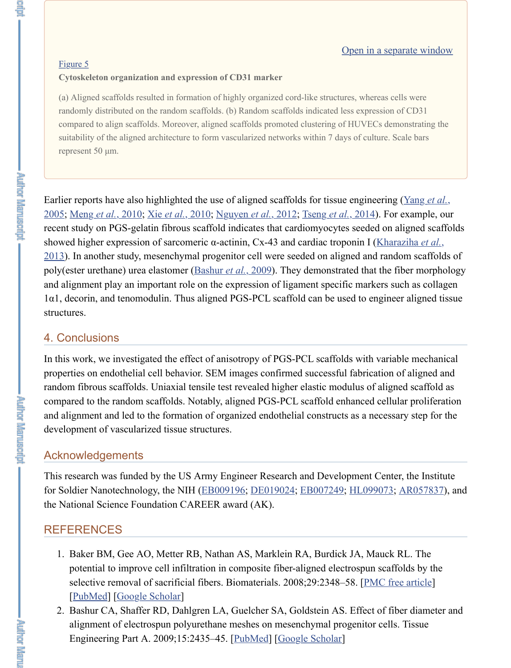Earlier reports have also highlighted the use of aligned scaffolds for tissue engineering 2005; Meng *et al.*, 2010; Xie *et al.*, 2010; Nguyen *et al.*, 2012; Tseng *et al.*, 2014). For rec[ent study](https://www.ncbi.nlm.nih.gov/pmc/articles/PMC4479144/figure/F5/) on PGS-gelatin fibrous scaffold indicates that cardiomyocytes seeded or showed higher expression of sarcomeric α-actinin, Cx-43 and cardiac troponin I (Kharaziha *et al.*, et al., *et al., et al., et al., et al., et al., et al., et al., et al., et al., et al., et al., et al., et al., et al.,* 2013). In another study, mesenchymal progenitor cell were seeded on aligned and ran poly(ester urethane) urea elastomer (Bashur *et al.*, 2009). They demonstrated that the and alignment play an important role on the expression of ligament specific markers  $1\alpha$ 1, decorin, and tenomodulin. Thus aligned PGS-PCL scaffold can be used to engine structures.

# 4. Conclusions

**The Remarking** 

**Putter Menuscript** 

<span id="page-10-0"></span>上高 "

In this work, we investigated the effect of anisotropy of PGS-PCL scaffolds with variable mechanical mechanical mechanical mechanical mechanical mechanical mechanical mechanical mechanical mechanical mechanical mechanical properties on endothelial cell behavior. SEM images confirmed successful fabrication random fibrous scaffolds. Uniaxial tensile test revealed higher elastic modulus of aligned scaffolds as  $\alpha$ compared to the random scaffolds. Notably, aligned PGS-PCL scaffold enhanced cell and alignment and led to the formation of organized endothelial constructs as a neces development of vascularized tissue s[tructures.](#page-10-0)

# Acknowledgements

This research was funded by the US Army Engineer Research and Development Cen for Soldier Nanotechnology, the NIH (EB009196; DE019024; EB007249; HL099073 the National Science Foundation CAREER award (AK).

# REFERENCES

- 1. Baker BM, Gee AO, Metter RB, Nathan AS, Marklein RA, Burdick JA, Mauch potential to improve cell infiltration in composite fiber-aligned electrospun sca selective removal of sacrificial fibers. Biomaterials. 2008;29:2348-58. [PMC free article]] [PubMed] [Google Scholar]
- 2. Bashur CA, Shaffer RD, Dahlgren LA, Guelcher SA, Goldstein AS. Effect of f alignment of electrospun polyurethane meshes on mesenchymal progenitor cel Engineering Part A. 2009;15:2435–45. [PubMed] [Google Scholar]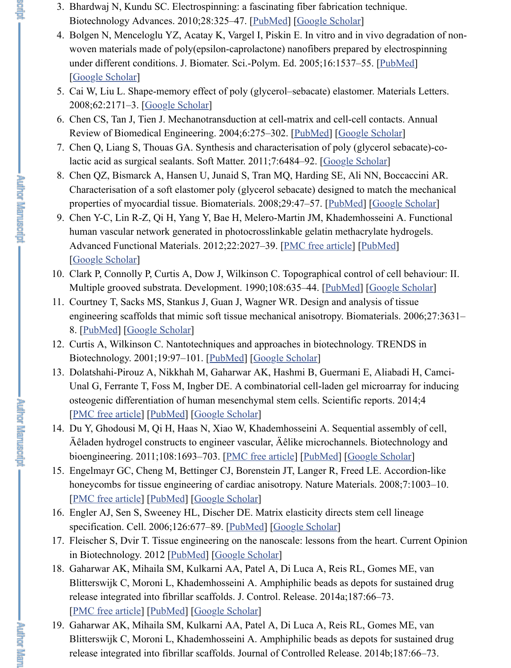- <span id="page-11-6"></span>lactic acid as surgical sealants. Soft Matter. 2011;7:6484–92. [Google Scholar]
- <span id="page-11-9"></span>8. Chen QZ, Bismarck A, Hansen U, Junaid S, Tran MQ, Harding SE, Ali NN, B Characterisation of a soft elastomer poly (gl[ycerol seb](https://www.ncbi.nlm.nih.gov/pubmed/20100560)a[cate\) designed to](https://scholar.google.com/scholar_lookup?journal=Biotechnology+Advances&title=Electrospinning:+a+fascinating+fiber+fabrication+technique&author=N+Bhardwaj&author=SC+Kundu&volume=28&publication_year=2010&pages=325-47&pmid=20100560&) match properties of myocardial tissue. Biomaterials. 2008;29:47–57. [PubMed] [Goo
- 9. Chen Y-C, Lin R-Z, Qi H, Yang Y, Bae H, Melero-Martin JM, Khademhossein human vascular network generated in photocrosslinkable gelatin methacrylate [Advanced Funct](https://scholar.google.com/scholar_lookup?journal=J.+Biomater.+Sci.-Polym.+Ed&title=In+vitro+and+in+vivo+degradation+of+non-woven+materials+made+of+poly(epsilon-caprolactone)+nanofibers+prepared+by+electrospinning+under+different+conditions&author=N+Bolgen&author=YZ+Menceloglu&author=K+Acatay&author=I+Vargel&author=E+Piskin&volume=16&publication_year=2005&pages=1537-55&pmid=16366336&)ional Materials. 2012;22:2027–39. [PMC free article] [PubMe [Google Scholar]
- <span id="page-11-10"></span><span id="page-11-4"></span>10. Clark P, Connolly [P, Curtis A, Dow](https://scholar.google.com/scholar_lookup?journal=Materials+Letters&title=Shape-memory+effect+of+poly+(glycerol%E2%80%93sebacate)+elastomer&author=W+Cai&author=L+Liu&volume=62&publication_year=2008&pages=2171-3&) J, Wilkinson C. Topographical control of c Multiple grooved substrata. Development. 1990;108:635–44. [PubMed] [Google
- <span id="page-11-1"></span>11. Courtney T, Sacks MS, Stankus J, Guan J, Wagner W[R. Design](https://www.ncbi.nlm.nih.gov/pubmed/15255771) and analysis of engineering scaffolds that mimic soft tissue mechanical aniso[tropy. Biomateri](https://scholar.google.com/scholar_lookup?journal=Soft+Matter&title=Synthesis+and+characterisation+of+poly+(glycerol+sebacate)-co-lactic+acid+as+surgical+sealants&author=Q+Chen&author=S+Liang&author=GA+Thouas&volume=7&publication_year=2011&pages=6484-92&)al 8. [PubMed] [Google Scholar]
- <span id="page-11-0"></span>12. Curtis A, Wilkinson C. Nantotechniques and approaches in biotechnology. TR Biotechnology. 2001;19:97–101. [PubMed] [Google Scholar]
- <span id="page-11-12"></span>13. Dolatshahi-Pirouz A, Nikkhah M, Gaharwar AK, Hashmi B, G[uermani E](https://www.ncbi.nlm.nih.gov/pubmed/17915309), Alia Unal G, Ferrante T, Foss M, Ingber DE. A combinatorial cell-laden gel microarray osteogenic differentiation of human mesenchymal st[em cells. Scientif](https://www.ncbi.nlm.nih.gov/pmc/articles/PMC3422083/)ic reports. [PMC free article] [PubMed] [Google Scholar]
- 14. [Du Y, Ghodousi](https://scholar.google.com/scholar_lookup?journal=Advanced+Functional+Materials&title=Functional+human+vascular+network+generated+in+photocrosslinkable+gelatin+methacrylate+hydrogels&author=Y-C+Chen&author=R-Z+Lin&author=H+Qi&author=Y+Yang&author=H+Bae&volume=22&publication_year=2012&pages=2027-39&pmid=22907987&) M, Qi H, Haas N, Xiao W, Khademhosseini A. Sequential ass Äêladen hydrogel constructs to engineer vascular, Äêlike microchannels. Biote bioengineering. 2011;108:1693–703. [PMC free article] [Pub[Med\] \[Go](https://www.ncbi.nlm.nih.gov/pubmed/2387239)ogle Sc
- 15. Engelmayr GC, Cheng M, Bettinger CJ, Borenstein JT, Langer R, Freed LE. A honeycombs for tissue engineering of cardiac anisotropy. Nature Materials. 20 [P[MC free a](https://www.ncbi.nlm.nih.gov/pubmed/16545867)rt[icle\] \[PubMed\] \[](https://scholar.google.com/scholar_lookup?journal=Biomaterials&title=Design+and+analysis+of+tissue+engineering+scaffolds+that+mimic+soft+tissue+mechanical+anisotropy&author=T+Courtney&author=MS+Sacks&author=J+Stankus&author=J+Guan&author=WR+Wagner&volume=27&publication_year=2006&pages=3631-8&pmid=16545867&)Google Scholar]
- 16. Engler AJ, Sen S, Sweeney HL, Discher DE. Matrix elasticity directs stem cell specification. Cell. 2006;126:677[–89. \[Pub](https://www.ncbi.nlm.nih.gov/pubmed/11179802)[Med\] \[Google Sch](https://scholar.google.com/scholar_lookup?journal=TRENDS+in+Biotechnology&title=Nantotechniques+and+approaches+in+biotechnology&author=A+Curtis&author=C+Wilkinson&volume=19&publication_year=2001&pages=97-101&pmid=11179802&)olar]
- <span id="page-11-2"></span>17. Fleischer S, Dvir T. Tissue engineering on the nanoscale: lessons from the heart. in Biotechnology. 2012 [PubMed] [Google Scholar]
- <span id="page-11-13"></span>18. Gaharwar AK, Mihaila SM, Kulkarni AA, Patel A, Di Luca A, Reis RL, Gome [Blitterswijk C, M](https://www.ncbi.nlm.nih.gov/pmc/articles/PMC3905276/)or[oni L, Kh](https://www.ncbi.nlm.nih.gov/pubmed/24473466)a[demhosseini A.](https://scholar.google.com/scholar_lookup?journal=Scientific+reports&title=A+combinatorial+cell-laden+gel+microarray+for+inducing+osteogenic+differentiation+of+human+mesenchymal+stem+cells&author=A+Dolatshahi-Pirouz&author=M+Nikkhah&author=AK+Gaharwar&author=B+Hashmi&author=E+Guermani&volume=4&publication_year=2014&) Amphiphilic beads as depots for release integrated into fibrillar scaffolds. J. Control. Release. 2014a;187:66–73. [PMC free article] [PubMed] [Google Scholar]
- <span id="page-11-11"></span><span id="page-11-5"></span>19. Gaharwar AK, Mihaila SM, Kulkarni [AA, Patel A, Di L](https://www.ncbi.nlm.nih.gov/pmc/articles/PMC3098307/)[uca A, Re](https://www.ncbi.nlm.nih.gov/pubmed/21337336)is RL, Gome Blitterswijk C, Moroni L, Khademhosseini A. Amphiphilic beads as depots for [release integrated](https://www.ncbi.nlm.nih.gov/pmc/articles/PMC2613200/) i[nto fibrill](https://www.ncbi.nlm.nih.gov/pubmed/18978786)ar [scaffolds. Journ](https://scholar.google.com/scholar_lookup?journal=Nature+Materials&title=Accordion-like+honeycombs+for+tissue+engineering+of+cardiac+anisotropy&author=GC+Engelmayr&author=M+Cheng&author=CJ+Bettinger&author=JT+Borenstein&author=R+Langer&volume=7&publication_year=2008&pages=1003-10&pmid=18978786&)al of Controlled Release. 2014b

**Autor Martuscipt** 

<span id="page-11-8"></span><span id="page-11-7"></span><span id="page-11-3"></span>de Fa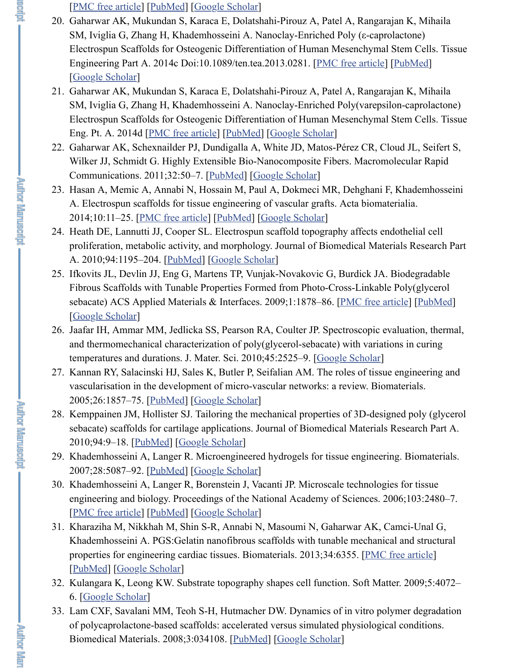- <span id="page-12-3"></span>WIIKER JJ, SCHIMUT G. HIGHLY EXICISIBLE BIO-NANOCOMPOSITE FIBERS. MACIONI [Communications.](https://www.ncbi.nlm.nih.gov/pmc/articles/PMC4079754/) 2[011;32:5](https://www.ncbi.nlm.nih.gov/pubmed/24794894)0[–7. \[PubMed\] \[G](https://scholar.google.com/scholar_lookup?journal=Journal+of+Controlled+Release&title=Amphiphilic+beads+as+depots+for+sustained+drug+release+integrated+into+fibrillar+scaffolds&author=AK+Gaharwar&author=SM+Mihaila&author=AA+Kulkarni&author=A+Patel&author=A+Di+Luca&volume=187&publication_year=2014b&pages=66-73&pmid=24794894&)oogle Scholar]
- 23. Hasan A, Memic A, Annabi N, Hossain M, Paul A, Dokmeci MR, Dehghani F A. Electrospun scaffolds for tissue engineering of vascular grafts. Acta biomaterial 2014;10:11–25. [PMC free article] [PubMed] [Google Scholar]

**Author Martuscript** 

**Author Marwashpr** 

<span id="page-12-8"></span><span id="page-12-7"></span><span id="page-12-2"></span>

- <span id="page-12-5"></span>24. Heath DE, Lannutti JJ, Cooper SL. Electrospun scaffold top[ography affects e](https://www.ncbi.nlm.nih.gov/pmc/articles/PMC4137355/)n [proliferation, me](https://scholar.google.com/scholar_lookup?journal=Tissue+Engineering+Part+A&title=Nanoclay-Enriched+Poly+(%CE%B5-caprolactone)+Electrospun+Scaffolds+for+Osteogenic+Differentiation+of+Human+Mesenchymal+Stem+Cells&author=AK+Gaharwar&author=S+Mukundan&author=E+Karaca&author=A+Dolatshahi-Pirouz&author=A+Patel&publication_year=2014c&)tabolic activity, and morphology. Journal of Biomedical Materials A. 2010;94:1195–204. [PubMed] [Google Scholar]
- 25. Ifkovits JL, Devlin JJ, Eng G, Martens TP, Vunjak-Novakovic G, Burdick JA. Fibrous Scaffolds with Tunable Properties Formed from Photo-Cross-Linkable sebacate) ACS Ap[plied Materials &](https://www.ncbi.nlm.nih.gov/pmc/articles/PMC4137355/) I[nterfaces.](https://www.ncbi.nlm.nih.gov/pubmed/24842693) 2[009;1:1878–86.](https://scholar.google.com/scholar_lookup?journal=Tissue+Eng.+Pt.+A&title=Nanoclay-Enriched+Poly(varepsilon-caprolactone)+Electrospun+Scaffolds+for+Osteogenic+Differentiation+of+Human+Mesenchymal+Stem+Cells&author=AK+Gaharwar&author=S+Mukundan&author=E+Karaca&author=A+Dolatshahi-Pirouz&author=A+Patel&publication_year=2014d&) [PMC free article] [Google Scholar]
- <span id="page-12-9"></span>26. Jaafar IH, Ammar MM, Jedlicka SS, Pearson RA, Coulter JP. Spectroscopic ev and thermomechanical characteri[zation of p](https://www.ncbi.nlm.nih.gov/pubmed/21432969)[oly\(glycerol-seba](https://scholar.google.com/scholar_lookup?journal=Macromolecular+Rapid+Communications&title=Highly+Extensible+Bio-Nanocomposite+Fibers&author=AK+Gaharwar&author=PJ+Schexnailder&author=A+Dundigalla&author=JD+White&author=CR+Matos-P%C3%A9rez&volume=32&publication_year=2011&pages=50-7&pmid=21432969&)cate) with variation temperatures and durations. J. Mater. Sci. 2010;45:2525–9. [Google Scholar]
- <span id="page-12-10"></span>27. Kannan RY, Salacinski HJ, Sales K, Butler P, Seifalian AM. The roles of tissue vascularisation i[n the developmen](https://www.ncbi.nlm.nih.gov/pmc/articles/PMC3867370/)t [of micro-](https://www.ncbi.nlm.nih.gov/pubmed/23973391)v[ascular networks](https://scholar.google.com/scholar_lookup?journal=Acta+biomaterialia&title=Electrospun+scaffolds+for+tissue+engineering+of+vascular+grafts&author=A+Hasan&author=A+Memic&author=N+Annabi&author=M+Hossain&author=A+Paul&volume=10&publication_year=2014&pages=11-25&pmid=23973391&): a review. Bion 2005;26:1857–75. [PubMed] [Google Scholar]
- <span id="page-12-6"></span>28. Kemppainen JM, Hollister SJ. Tailoring the mechanical properties of 3D-designed polynomials. sebacate) scaffolds for [cartilage a](https://www.ncbi.nlm.nih.gov/pubmed/20694986)p[plications. Journ](https://scholar.google.com/scholar_lookup?journal=Journal+of+Biomedical+Materials+Research+Part+A&title=Electrospun+scaffold+topography+affects+endothelial+cell+proliferation,+metabolic+activity,+and+morphology&author=DE+Heath&author=JJ+Lannutti&author=SL+Cooper&volume=94&publication_year=2010&pages=1195-204&pmid=20694986&)al of Biomedical Materials 2010;94:9–18. [PubMed] [Google Scholar]
- 29. Khademhosseini A, Langer R. Microengineered hydrogels for tissue engineering. 2007;28:5087–92. [PubMed] [Google Scholar]
- <span id="page-12-1"></span>30. [Khademhosseini](https://scholar.google.com/scholar_lookup?journal=ACS+Applied+Materials+&+Interfaces&title=Biodegradable+Fibrous+Scaffolds+with+Tunable+Properties+Formed+from+Photo-Cross-Linkable+Poly(glycerol+sebacate)&author=JL+Ifkovits&author=JJ+Devlin&author=G+Eng&author=TP+Martens&author=G+Vunjak-Novakovic&volume=1&publication_year=2009&pages=1878-86&pmid=20160937&) A, Langer R, Borenstein J, Vacanti JP. Microscale technologie engineering and biology. Proceedings of the National Academy of Sciences. 2006; [PMC free article] [PubMed] [Google Scholar]
- <span id="page-12-11"></span>31. Kharaziha M, Nikkhah M, Shin S-R, Annabi N, Masoumi N[, Gaharwar AK,](https://scholar.google.com/scholar_lookup?journal=J.+Mater.+Sci&title=Spectroscopic+evaluation,+thermal,+and+thermomechanical+characterization+of+poly(glycerol-sebacate)+with+variations+in+curing+temperatures+and+durations&author=IH+Jaafar&author=MM+Ammar&author=SS+Jedlicka&author=RA+Pearson&author=JP+Coulter&volume=45&publication_year=2010&pages=2525-9&) C Khademhosseini A. PGS:Gelatin nanofibrous scaffolds with tunable mechanic properties for engineering car[diac tissues. Biom](https://scholar.google.com/scholar_lookup?journal=Biomaterials&title=The+roles+of+tissue+engineering+and+vascularisation+in+the+development+of+micro-vascular+networks:+a+review&author=RY+Kannan&author=HJ+Salacinski&author=K+Sales&author=P+Butler&author=AM+Seifalian&volume=26&publication_year=2005&pages=1857-75&pmid=15576160&)aterials. 2013;34:6355. [PMC free article] [PubMed] [Google [Scholar\]](https://www.ncbi.nlm.nih.gov/pubmed/15576160)
- <span id="page-12-0"></span>32. Kulangara K, Leong KW. Substrate topography shapes cell function. Soft Matt 6. [Google Scholar]
- <span id="page-12-12"></span><span id="page-12-4"></span>33. Lam CXF, Sav[alani MM](https://www.ncbi.nlm.nih.gov/pubmed/20091702), [Teoh S-H, Hutm](https://scholar.google.com/scholar_lookup?journal=Journal+of+Biomedical+Materials+Research+Part+A&title=Tailoring+the+mechanical+properties+of+3D-designed+poly+(glycerol+sebacate)+scaffolds+for+cartilage+applications&author=JM+Kemppainen&author=SJ+Hollister&volume=94&publication_year=2010&pages=9-18&pmid=20091702&)acher DW. Dynamics of in vitro polymeration of polycaprolactone-based scaffolds: accelerated versus simulated physiological conditions. Biomedical Materi[als. 2008;](https://www.ncbi.nlm.nih.gov/pubmed/17707502)3:[034108. \[PubM](https://scholar.google.com/scholar_lookup?journal=Biomaterials&title=Microengineered+hydrogels+for+tissue+engineering&author=A+Khademhosseini&author=R+Langer&volume=28&publication_year=2007&pages=5087-92&pmid=17707502&)ed] [Google Scholar]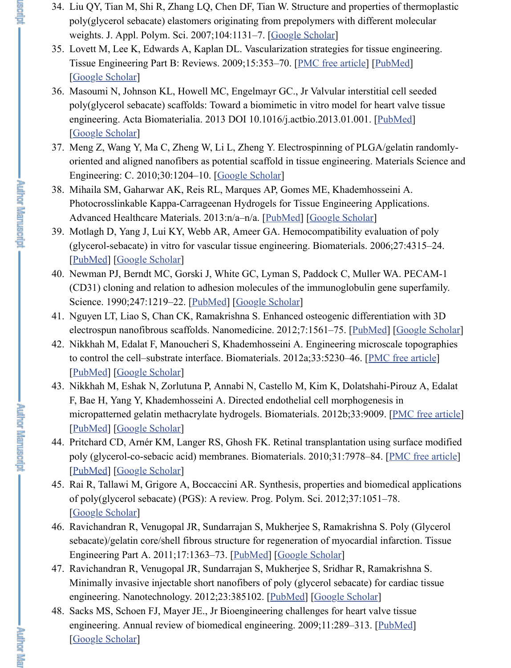- <span id="page-13-7"></span>oriented and aligned nanofibers as potential scaffold in tissue engineering. Materials Science and Engineering: C. 2010;30:1204–10. [Google Scholar]
- <span id="page-13-8"></span>38. Mihaila SM, Gaharwar AK, Reis RL, Marques AP, Gomes ME, Khademhosse Photocrosslinkable Kappa-Carrageenan Hydroge[ls for Tissue Eng](https://scholar.google.com/scholar_lookup?journal=J.+Appl.+Polym.+Sci&title=Structure+and+properties+of+thermoplastic+poly(glycerol+sebacate)+elastomers+originating+from+prepolymers+with+different+molecular+weights&author=QY+Liu&author=M+Tian&author=R+Shi&author=LQ+Zhang&author=DF+Chen&volume=104&publication_year=2007&pages=1131-7&)ineering App Advanced Healthcare Materials. 2013:n/a–n/a. [PubMed] [Google Scholar]

**Author Manuscript** 

**Author Martuscript** 

j.

- <span id="page-13-1"></span>39. Motlagh D, Yang J, Lui KY, Webb AR, Ameer GA. He[mocompatibility e](https://www.ncbi.nlm.nih.gov/pmc/articles/PMC2817665/)v[aluation o](https://www.ncbi.nlm.nih.gov/pubmed/19496677)f polynomials of polynomials of polynomials of polynomials and polynomials of polynomials of polynomials and polynomials of polynomials and po [\(glycerol-sebaca](https://scholar.google.com/scholar_lookup?journal=Tissue+Engineering+Part+B:+Reviews&title=Vascularization+strategies+for+tissue+engineering&author=M+Lovett&author=K+Lee&author=A+Edwards&author=DL+Kaplan&volume=15&publication_year=2009&pages=353-70&pmid=19496677&)te) in vitro for vascular tissue engineering. Biomaterials. 2006 [PubMed] [Google Scholar]
- 40. Newman PJ, Berndt MC, Gorski J, White GC, Lyman S, Paddock C, Muller W (CD31) cloning and relation to adhesion molecules of the immunoglobulin general [Science. 1990;24](https://scholar.google.com/scholar_lookup?journal=Acta+Biomaterialia&title=Valvular+interstitial+cell+seeded+poly(glycerol+sebacate)+scaffolds:+Toward+a+biomimetic+in+vitro+model+for+heart+valve+tissue+engineering&author=N+Masoumi&author=KL+Johnson&author=MC+Howell&author=GC+Engelmayr&publication_year=2013&)7:1219–22. [PubMed] [Google Scholar]
- <span id="page-13-9"></span>41. Nguyen LT, Liao S, Chan CK, Ramakrishna S. Enhanced osteogenic differenti electrospun nanofibrous scaffolds. Nanomedicine. 2012;7:1561–75. [PubMed]
- <span id="page-13-5"></span>42. Nikkhah M, Edalat F, Manoucheri [S, Khademhossei](https://scholar.google.com/scholar_lookup?journal=Materials+Science+and+Engineering:+C&title=Electrospinning+of+PLGA/gelatin+randomly-oriented+and+aligned+nanofibers+as+potential+scaffold+in+tissue+engineering&author=Z+Meng&author=Y+Wang&author=C+Ma&author=W+Zheng&author=L+Li&volume=30&publication_year=2010&pages=1204-10&)ni A. Engineering microsc to control the cell–substrate interface. Biomaterials.  $2012a;33:5230-46$ . [PMC [PubMed] [Google Scholar]
- <span id="page-13-0"></span>43. Nikkhah M, Eshak N, Zorlutuna P, Annabi N, [Castello M](https://www.ncbi.nlm.nih.gov/pubmed/23281344), [Kim K, Dolatsh](https://scholar.google.com/scholar_lookup?journal=Advanced+Healthcare+Materials&title=Photocrosslinkable+Kappa-Carrageenan+Hydrogels+for+Tissue+Engineering+Applications&author=SM+Mihaila&author=AK+Gaharwar&author=RL+Reis&author=AP+Marques&author=ME+Gomes&publication_year=2013&pages=n/a-n/a&)ahi-F, Bae H, Yang Y, Khademhosseini A. Directed endothelial cell morphogenesis micropatterned gelatin methacrylate hydrogels. Biomaterials. 2012b;33:9009. [\[PubMed](https://www.ncbi.nlm.nih.gov/pubmed/16675010)] [[Google Scholar\]](https://scholar.google.com/scholar_lookup?journal=Biomaterials&title=Hemocompatibility+evaluation+of+poly+(glycerol-sebacate)+in+vitro+for+vascular+tissue+engineering&author=D+Motlagh&author=J+Yang&author=KY+Lui&author=AR+Webb&author=GA+Ameer&volume=27&publication_year=2006&pages=4315-24&pmid=16675010&)
- 44. Pritchard CD, Arnér KM, Langer RS, Ghosh FK. Retinal transplantation using poly (glycerol-co-sebacic aci[d\) membr](https://www.ncbi.nlm.nih.gov/pubmed/1690453)a[nes. Biomaterials](https://scholar.google.com/scholar_lookup?journal=Science&title=PECAM-1+(CD31)+cloning+and+relation+to+adhesion+molecules+of+the+immunoglobulin+gene+superfamily&author=PJ+Newman&author=MC+Berndt&author=J+Gorski&author=GC+White&author=S+Lyman&volume=247&publication_year=1990&pages=1219-22&pmid=1690453&). 2010;31:7978–84. [ [PubMed] [Google Scholar]
- <span id="page-13-10"></span><span id="page-13-4"></span>45. Rai R, Tallawi M, Grigore A, Boccaccini AR. Synthesis, properties and biome of poly(glycerol sebacate) (PGS): A review. Prog. Polym. Sci. 2012;[37:1051–](https://www.ncbi.nlm.nih.gov/pubmed/22709343)78. [Google Scholar]
- <span id="page-13-6"></span>46. Ravichandran R, Venugopal JR, Sundarrajan S, Mukherjee S, Ramakrishna S. [sebacate\)](https://www.ncbi.nlm.nih.gov/pubmed/22521491)/g[elatin core/shell](https://scholar.google.com/scholar_lookup?journal=Biomaterials&title=Engineering+microscale+topographies+to+control+the+cell%E2%80%93substrate+interface&author=M+Nikkhah&author=F+Edalat&author=S+Manoucheri&author=A+Khademhosseini&volume=33&publication_year=2012a&pages=5230-46&pmid=22521491&) fibrous structure for regeneration of myocardial inf Engineering Part A. 2011;17:1363–73. [PubMed] [Google Scholar]
- 47. Ravichandran R, Venugopal JR, Sundarrajan S, Mukherjee S, Sridhar R, Rama Minimally invasive injectable short nanofibers of poly (glycerol sebacate) for our [engineeri](https://www.ncbi.nlm.nih.gov/pubmed/23018132)n[g. Nanotechnolog](https://scholar.google.com/scholar_lookup?journal=Biomaterials&title=Directed+endothelial+cell+morphogenesis+in+micropatterned+gelatin+methacrylate+hydrogels&author=M+Nikkhah&author=N+Eshak&author=P+Zorlutuna&author=N+Annabi&author=M+Castello&volume=33&publication_year=2012b&pages=9009&pmid=23018132&)y. 2012;23:385102. [PubMed] [Google Scholar]
- <span id="page-13-3"></span><span id="page-13-2"></span>48. Sacks MS, Schoen FJ, Mayer JE., Jr Bioengineering challenges for heart valve engineerin[g. Annual review](https://scholar.google.com/scholar_lookup?journal=Biomaterials&title=Retinal+transplantation+using+surface+modified+poly+(glycerol-co-sebacic+acid)+membranes&author=CD+Pritchard&author=KM+Arn%C3%A9r&author=RS+Langer&author=FK+Ghosh&volume=31&publication_year=2010&pages=7978-84&pmid=20656341&) of biomedical engineering.  $2009;11:289-313$ . [Pul [\[Google S](https://www.ncbi.nlm.nih.gov/pubmed/20656341)cholar]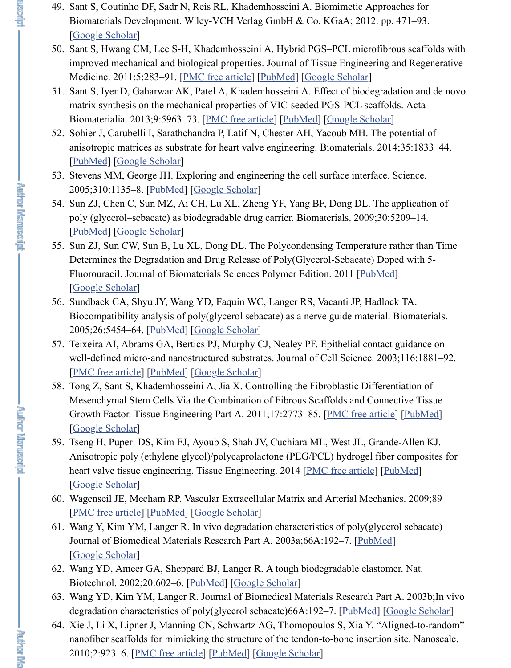- <span id="page-14-5"></span><u>|I ubivitu | Google Scholar</u>
- 53. Stevens MM, George JH. Exploring and engineering the cell surface interface. 2005;310:1135–8. [PubMed] [Google Scholar]
- <span id="page-14-7"></span>54. [Sun ZJ, Chen C,](https://scholar.google.com/scholar_lookup?title=Biomimetic+Approaches+for+Biomaterials+Development&author=S+Sant&author=DF+Coutinho&author=N+Sadr&author=RL+Reis&author=A+Khademhosseini&publication_year=2012&) Sun MZ, Ai CH, Lu XL, Zheng YF, Yang BF, Dong DL. The poly (glycerol–sebacate) as biodegradable drug carrier. Biomaterials. 2009;30: [PubMed] [Google Scholar]

*<b>Author IMETILES* 

**Primer Refuger** 

- <span id="page-14-8"></span>55. Sun ZJ, Sun CW, Sun B, L[u XL, Dong DL. T](https://www.ncbi.nlm.nih.gov/pmc/articles/PMC2972380/)[he Polyco](https://www.ncbi.nlm.nih.gov/pubmed/20669260)n[densing Tempera](https://scholar.google.com/scholar_lookup?journal=Journal+of+Tissue+Engineering+and+Regenerative+Medicine&title=Hybrid+PGS%E2%80%93PCL+microfibrous+scaffolds+with+improved+mechanical+and+biological+properties&author=S+Sant&author=CM+Hwang&author=S-H+Lee&author=A+Khademhosseini&volume=5&publication_year=2011&pages=283-91&pmid=20669260&)ture rather Determines the Degradation and Drug Release of Poly(Glycerol-Sebacate) Doped with 5Fluorouracil. Journal of Biomate[rials Sciences Pol](https://www.ncbi.nlm.nih.gov/pmc/articles/PMC3662231/)y[mer Editi](https://www.ncbi.nlm.nih.gov/pubmed/23168222)o[n. 2011 \[PubMed](https://scholar.google.com/scholar_lookup?journal=Acta+Biomaterialia&title=Effect+of+biodegradation+and+de+novo+matrix+synthesis+on+the+mechanical+properties+of+VIC-seeded+PGS-PCL+scaffolds&author=S+Sant&author=D+Iyer&author=AK+Gaharwar&author=A+Patel&author=A+Khademhosseini&volume=9&publication_year=2013&pages=5963-73&pmid=23168222&)] [Google Scholar]
- 56. Sundback CA, Shyu JY, Wang YD, Faquin WC, Langer RS, Vacanti JP, Hadlo Biocompatibility analysis of poly(glycerol sebacate) as a nerve guide material. [2005;26:5](https://www.ncbi.nlm.nih.gov/pubmed/24314554)4[54–64. \[PubMed](https://scholar.google.com/scholar_lookup?journal=Biomaterials&title=The+potential+of+anisotropic+matrices+as+substrate+for+heart+valve+engineering&author=J+Sohier&author=I+Carubelli&author=P+Sarathchandra&author=N+Latif&author=AH+Chester&volume=35&publication_year=2014&pages=1833-44&pmid=24314554&)] [Google Scholar]
- <span id="page-14-6"></span><span id="page-14-4"></span>57. Teixeira AI, Abrams GA, Bertics PJ, Murphy CJ, Nealey PF. Epithelial contact well-defined micro[-and nano](https://www.ncbi.nlm.nih.gov/pubmed/16293749)s[tructured substra](https://scholar.google.com/scholar_lookup?journal=Science&title=Exploring+and+engineering+the+cell+surface+interface&author=MM+Stevens&author=JH+George&volume=310&publication_year=2005&pages=1135-8&pmid=16293749&)tes. Journal of Cell Science. 2003;116:1881–91. [PMC free article] [PubMed] [Google Scholar]
- <span id="page-14-3"></span>58. Tong Z, Sant S, Khademhosseini A, Jia X. Controlling the Fibroblastic Differentiation of  $\overline{A}$ , Jia X. Controlling the Fibroblastic Differentiation of  $\overline{A}$ , Jia X. Controlling the Fibroblastic Differentiation of [Mesenchy](https://www.ncbi.nlm.nih.gov/pubmed/19560817)[mal Stem Cells V](https://scholar.google.com/scholar_lookup?journal=Biomaterials&title=The+application+of+poly+(glycerol%E2%80%93sebacate)+as+biodegradable+drug+carrier&author=ZJ+Sun&author=C+Chen&author=MZ+Sun&author=CH+Ai&author=XL+Lu&volume=30&publication_year=2009&pages=5209-14&pmid=19560817&)ia the Combination of Fibrous Scaffolds and Conne Growth Factor. Tissue Engineering Part A. 2011;17:2773–85. [PMC free articl [Google Scholar]
- <span id="page-14-0"></span>59. Tseng H, Puperi DS, Kim EJ, Ayoub S, Shah JV, Cuchiara ML, West JL, Grand [Anisotropic poly](https://scholar.google.com/scholar_lookup?journal=Journal+of+Biomaterials+Sciences+Polymer+Edition&title=The+Polycondensing+Temperature+rather+than+Time+Determines+the+Degradation+and+Drug+Release+of+Poly(Glycerol-Sebacate)+Doped+with+5-Fluorouracil&author=ZJ+Sun&author=CW+Sun&author=B+Sun&author=XL+Lu&author=DL+Dong&publication_year=2011&) (ethylene glycol)/polycaprolactone (PEG/PCL) hydrogel fibe heart valve tissue engineering. Tissue Engineering.  $2014$  [PMC free article] [P [Google Scholar]
- 60. Wagenseil JE, Mec[ham RP. V](https://www.ncbi.nlm.nih.gov/pubmed/15860202)[ascular Extracell](https://scholar.google.com/scholar_lookup?journal=Biomaterials&title=Biocompatibility+analysis+of+poly(glycerol+sebacate)+as+a+nerve+guide+material&author=CA+Sundback&author=JY+Shyu&author=YD+Wang&author=WC+Faquin&author=RS+Langer&volume=26&publication_year=2005&pages=5454-64&pmid=15860202&)ular Matrix and Arterial Mechan [PMC free article] [PubMed] [Google Scholar]
- <span id="page-14-9"></span>61. Wang Y, Kim YM, Langer R. In vivo degradation characteristics of poly(glyce [Journal of Biomed](https://www.ncbi.nlm.nih.gov/pmc/articles/PMC1885893/)i[cal Mater](https://www.ncbi.nlm.nih.gov/pubmed/12692189)i[als Research Part](https://scholar.google.com/scholar_lookup?journal=Journal+of+Cell+Science&title=Epithelial+contact+guidance+on+well-defined+micro-and+nanostructured+substrates&author=AI+Teixeira&author=GA+Abrams&author=PJ+Bertics&author=CJ+Murphy&author=PF+Nealey&volume=116&publication_year=2003&pages=1881-92&pmid=12692189&) A. 2003a;66A:192–7. [PubMed] [Google Scholar]
- 62. Wang YD, Ameer GA, Sheppard BJ, Langer R. A tough biodegradable elaston Biotechnol. 2002;20:602–6. [PubMed] [Google Scholar]
- <span id="page-14-12"></span>63. [Wang YD, Kim Y](https://scholar.google.com/scholar_lookup?journal=Tissue+Engineering+Part+A&title=Controlling+the+Fibroblastic+Differentiation+of+Mesenchymal+Stem+Cells+Via+the+Combination+of+Fibrous+Scaffolds+and+Connective+Tissue+Growth+Factor&author=Z+Tong&author=S+Sant&author=A+Khademhosseini&author=X+Jia&volume=17&publication_year=2011&pages=2773-85&pmid=21689062&)M, Langer R. Journal of Biomedical Materials Research Part degradation characteristics of poly(glycerol sebacate)66A:192–7. [PubMed] [ $\Omega$
- <span id="page-14-11"></span><span id="page-14-10"></span><span id="page-14-2"></span><span id="page-14-1"></span>64. Xie J, Li X, Lipner J, Manning CN, Schwartz AG, Thomopoulos S, Xia Y. "Al nanofiber scaffolds for mimicking the structure of the ten[don-to-bone inser](https://www.ncbi.nlm.nih.gov/pmc/articles/PMC4195534/)tion [2010;2:923–6.](https://scholar.google.com/scholar_lookup?journal=Tissue+Engineering&title=Anisotropic+poly+(ethylene+glycol)/polycaprolactone+(PEG/PCL)+hydrogel+fiber+composites+for+heart+valve+tissue+engineering&author=H+Tseng&author=DS+Puperi&author=EJ+Kim&author=S+Ayoub&author=JV+Shah&publication_year=2014&) [PMC free article] [PubMed] [Google Scholar]